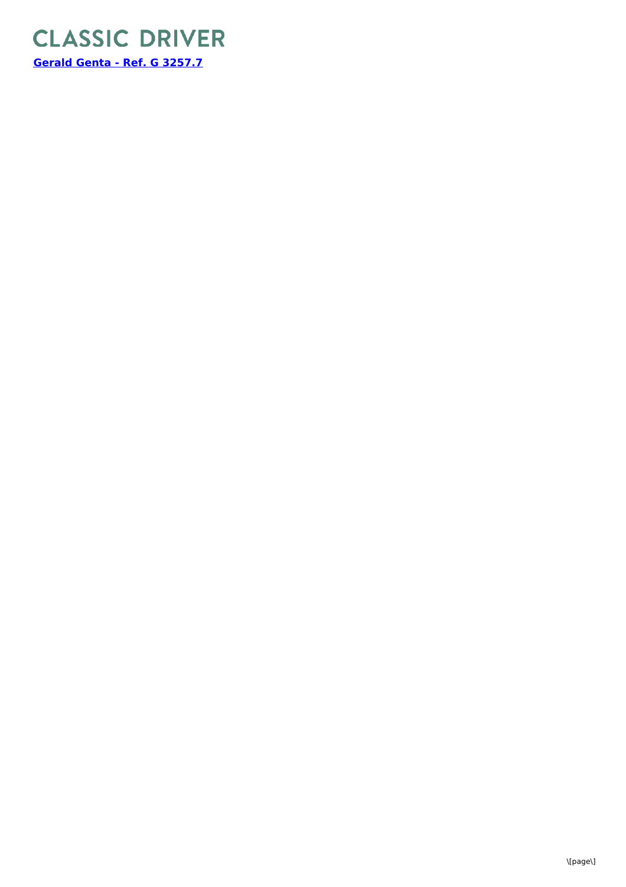

\[page\]